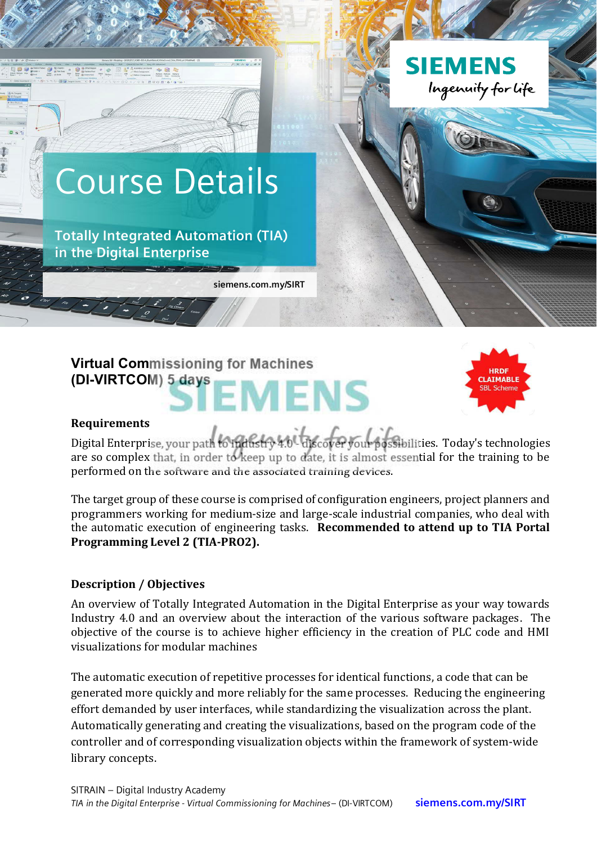

# **Virtual Commissioning for Machines (DI-VIRTCOM) 5 days** EMENS



#### **Requirements**

Digital Enterprise, your path to midistry 4.0 - discover your possibilities. Today's technologies are so complex that, in order to keep up to date, it is almost essential for the training to be performed on the software and the associated training devices.

The target group of these course is comprised of configuration engineers, project planners and programmers working for medium-size and large-scale industrial companies, who deal with the automatic execution of engineering tasks. Recommended to attend up to TIA Portal Programming Level 2 (TIA-PRO2).

#### **Description / Objectives**

An overview of Totally Integrated Automation in the Digital Enterprise as your way towards Industry 4.0 and an overview about the interaction of the various software packages. The objective of the course is to achieve higher efficiency in the creation of PLC code and HMI visualizations for modular machines

The automatic execution of repetitive processes for identical functions, a code that can be generated more quickly and more reliably for the same processes. Reducing the engineering effort demanded by user interfaces, while standardizing the visualization across the plant. Automatically generating and creating the visualizations, based on the program code of the controller and of corresponding visualization objects within the framework of system-wide library concepts.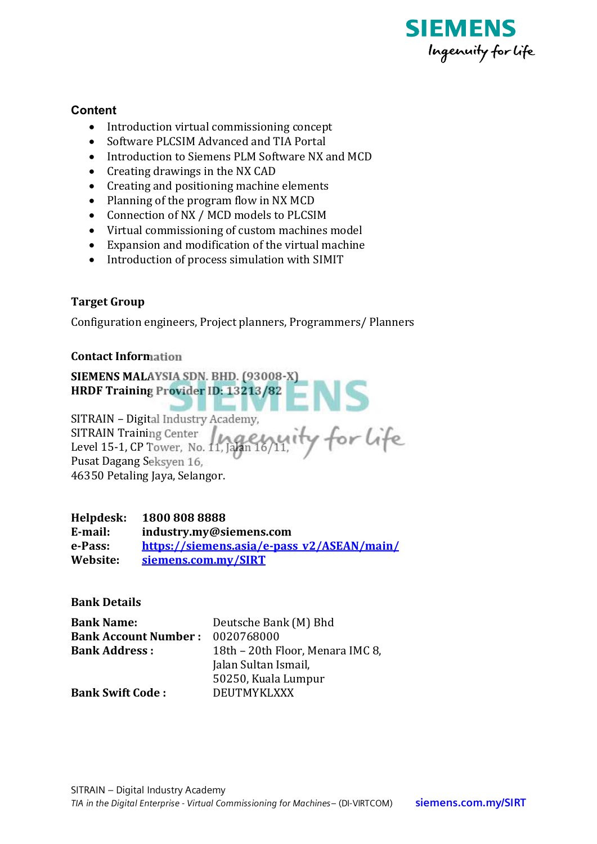

### Content

- Introduction virtual commissioning concept
- Software PLCSIM Advanced and TIA Portal
- Introduction to Siemens PLM Software NX and MCD
- $\bullet$  Creating drawings in the NX CAD
- Creating and positioning machine elements
- Planning of the program flow in NX MCD
- Connection of NX / MCD models to PLCSIM
- Virtual commissioning of custom machines model
- Expansion and modification of the virtual machine
- Introduction of process simulation with SIMIT

## **Target Group**

Configuration engineers, Project planners, Programmers/ Planners

#### **Contact Information**

SIEMENS MALAYSIA SDN. BHD. (93008-X) HRDF Training Provider ID: 13213/82

SITRAIN - Digital Industry Academy, SITRAIN Training Center 11, 1999 Wity for Life Pusat Dagang Seksyen 16, 46350 Petaling Jaya, Selangor.

#### Helpdesk: 1800 808 8888

E-mail: industry.my@siemens.com e-Pass: https://siemens.asia/e-pass v2/ASEAN/main/ Website: siemens.com.my/SIRT

**Bank Details** 

| <b>Bank Name:</b>           | Deutsche Bank (M) Bhd            |
|-----------------------------|----------------------------------|
| <b>Bank Account Number:</b> | 0020768000                       |
| <b>Bank Address:</b>        | 18th - 20th Floor, Menara IMC 8, |
|                             | Jalan Sultan Ismail,             |
|                             | 50250, Kuala Lumpur              |
| <b>Bank Swift Code:</b>     | <b>DEUTMYKLXXX</b>               |